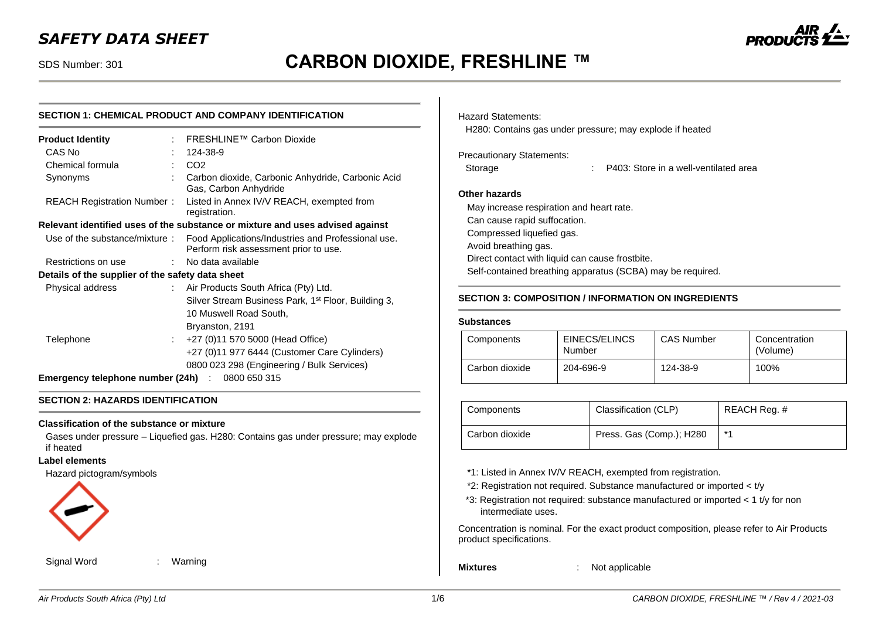# SDS Number: 301 **CARBON DIOXIDE, FRESHLINE ™**

# **SECTION 1: CHEMICAL PRODUCT AND COMPANY IDENTIFICATION**

| <b>Product Identity</b>                                                       |      | FRESHLINE™ Carbon Dioxide                                                                   |  |  |
|-------------------------------------------------------------------------------|------|---------------------------------------------------------------------------------------------|--|--|
| CAS No                                                                        |      | 124-38-9                                                                                    |  |  |
| Chemical formula                                                              |      | CO <sub>2</sub>                                                                             |  |  |
| Synonyms                                                                      |      | Carbon dioxide, Carbonic Anhydride, Carbonic Acid<br>Gas, Carbon Anhydride                  |  |  |
| REACH Registration Number:                                                    |      | Listed in Annex IV/V REACH, exempted from<br>registration.                                  |  |  |
| Relevant identified uses of the substance or mixture and uses advised against |      |                                                                                             |  |  |
| Use of the substance/mixture:                                                 |      | Food Applications/Industries and Professional use.<br>Perform risk assessment prior to use. |  |  |
| Restrictions on use                                                           | t.   | No data available                                                                           |  |  |
| Details of the supplier of the safety data sheet                              |      |                                                                                             |  |  |
| Physical address                                                              |      | : Air Products South Africa (Pty) Ltd.                                                      |  |  |
|                                                                               |      | Silver Stream Business Park, 1 <sup>st</sup> Floor, Building 3,                             |  |  |
|                                                                               |      | 10 Muswell Road South,                                                                      |  |  |
|                                                                               |      | Bryanston, 2191                                                                             |  |  |
| Telephone                                                                     | t in | +27 (0)11 570 5000 (Head Office)                                                            |  |  |
|                                                                               |      | +27 (0)11 977 6444 (Customer Care Cylinders)                                                |  |  |
|                                                                               |      | 0800 023 298 (Engineering / Bulk Services)                                                  |  |  |
| <b>Emergency telephone number (24h)</b> : 0800 650 315                        |      |                                                                                             |  |  |

#### **SECTION 2: HAZARDS IDENTIFICATION**

#### **Classification of the substance or mixture**

Gases under pressure – Liquefied gas. H280: Contains gas under pressure; may explode if heated

#### **Label elements**

Hazard pictogram/symbols



Signal Word : Warning

Hazard Statements:

H280: Contains gas under pressure; may explode if heated

### Precautionary Statements:

Storage : P403: Store in a well-ventilated area

#### **Other hazards**

May increase respiration and heart rate. Can cause rapid suffocation. Compressed liquefied gas. Avoid breathing gas. Direct contact with liquid can cause frostbite. Self-contained breathing apparatus (SCBA) may be required.

### **SECTION 3: COMPOSITION / INFORMATION ON INGREDIENTS**

#### **Substances**

| Components     | EINECS/ELINCS<br>Number | <b>CAS Number</b> | Concentration<br>(Volume) |
|----------------|-------------------------|-------------------|---------------------------|
| Carbon dioxide | 204-696-9               | 124-38-9          | 100%                      |

| Components     | Classification (CLP)     | REACH Req. # |
|----------------|--------------------------|--------------|
| Carbon dioxide | Press. Gas (Comp.); H280 | $*$          |

\*1: Listed in Annex IV/V REACH, exempted from registration.

- \*2: Registration not required. Substance manufactured or imported < t/y
- \*3: Registration not required: substance manufactured or imported < 1 t/y for non intermediate uses.

Concentration is nominal. For the exact product composition, please refer to Air Products product specifications.

**Mixtures** : Not applicable

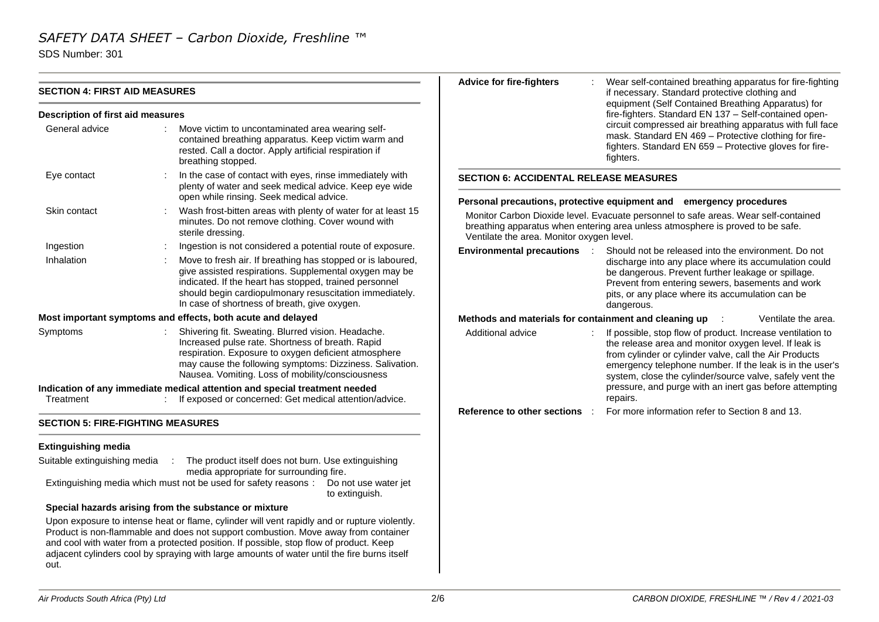SDS Number: 301

|                                          |                                                                                                                                                                                                                                                                                                                                                                                                                                      | <b>Advice for fire-fighters</b>                       | Wear self-contained breathing apparatus for fire-fighting                                                                                                                                                                                                                                             |  |  |  |
|------------------------------------------|--------------------------------------------------------------------------------------------------------------------------------------------------------------------------------------------------------------------------------------------------------------------------------------------------------------------------------------------------------------------------------------------------------------------------------------|-------------------------------------------------------|-------------------------------------------------------------------------------------------------------------------------------------------------------------------------------------------------------------------------------------------------------------------------------------------------------|--|--|--|
| <b>SECTION 4: FIRST AID MEASURES</b>     |                                                                                                                                                                                                                                                                                                                                                                                                                                      |                                                       | if necessary. Standard protective clothing and<br>equipment (Self Contained Breathing Apparatus) for<br>fire-fighters. Standard EN 137 - Self-contained open-                                                                                                                                         |  |  |  |
| Description of first aid measures        |                                                                                                                                                                                                                                                                                                                                                                                                                                      |                                                       |                                                                                                                                                                                                                                                                                                       |  |  |  |
| General advice                           | Move victim to uncontaminated area wearing self-<br>contained breathing apparatus. Keep victim warm and<br>rested. Call a doctor. Apply artificial respiration if<br>breathing stopped.                                                                                                                                                                                                                                              |                                                       | circuit compressed air breathing apparatus with full face<br>mask. Standard EN 469 - Protective clothing for fire-<br>fighters. Standard EN 659 - Protective gloves for fire-<br>fighters.                                                                                                            |  |  |  |
| Eye contact                              | In the case of contact with eyes, rinse immediately with<br>plenty of water and seek medical advice. Keep eye wide<br>open while rinsing. Seek medical advice.                                                                                                                                                                                                                                                                       | <b>SECTION 6: ACCIDENTAL RELEASE MEASURES</b>         |                                                                                                                                                                                                                                                                                                       |  |  |  |
| Skin contact                             | Wash frost-bitten areas with plenty of water for at least 15<br>minutes. Do not remove clothing. Cover wound with<br>sterile dressing.                                                                                                                                                                                                                                                                                               | Ventilate the area. Monitor oxygen level.             | Personal precautions, protective equipment and emergency procedures<br>Monitor Carbon Dioxide level. Evacuate personnel to safe areas. Wear self-contained<br>breathing apparatus when entering area unless atmosphere is proved to be safe.                                                          |  |  |  |
| Ingestion                                | Ingestion is not considered a potential route of exposure.                                                                                                                                                                                                                                                                                                                                                                           | <b>Environmental precautions :</b>                    | Should not be released into the environment. Do not                                                                                                                                                                                                                                                   |  |  |  |
| Inhalation                               | Move to fresh air. If breathing has stopped or is laboured,<br>give assisted respirations. Supplemental oxygen may be<br>indicated. If the heart has stopped, trained personnel<br>should begin cardiopulmonary resuscitation immediately.<br>In case of shortness of breath, give oxygen.                                                                                                                                           |                                                       | discharge into any place where its accumulation could<br>be dangerous. Prevent further leakage or spillage.<br>Prevent from entering sewers, basements and work<br>pits, or any place where its accumulation can be<br>dangerous.                                                                     |  |  |  |
|                                          | Most important symptoms and effects, both acute and delayed                                                                                                                                                                                                                                                                                                                                                                          | Methods and materials for containment and cleaning up | Ventilate the area.                                                                                                                                                                                                                                                                                   |  |  |  |
| Symptoms                                 | Shivering fit. Sweating. Blurred vision. Headache.<br>Increased pulse rate. Shortness of breath. Rapid<br>respiration. Exposure to oxygen deficient atmosphere<br>may cause the following symptoms: Dizziness. Salivation.<br>Nausea. Vomiting. Loss of mobility/consciousness                                                                                                                                                       | Additional advice                                     | If possible, stop flow of product. Increase ventilation to<br>the release area and monitor oxygen level. If leak is<br>from cylinder or cylinder valve, call the Air Products<br>emergency telephone number. If the leak is in the user's<br>system, close the cylinder/source valve, safely vent the |  |  |  |
| Treatment                                | Indication of any immediate medical attention and special treatment needed<br>If exposed or concerned: Get medical attention/advice.                                                                                                                                                                                                                                                                                                 |                                                       | pressure, and purge with an inert gas before attempting<br>repairs.                                                                                                                                                                                                                                   |  |  |  |
| <b>SECTION 5: FIRE-FIGHTING MEASURES</b> |                                                                                                                                                                                                                                                                                                                                                                                                                                      | Reference to other sections :                         | For more information refer to Section 8 and 13.                                                                                                                                                                                                                                                       |  |  |  |
|                                          |                                                                                                                                                                                                                                                                                                                                                                                                                                      |                                                       |                                                                                                                                                                                                                                                                                                       |  |  |  |
| <b>Extinguishing media</b>               |                                                                                                                                                                                                                                                                                                                                                                                                                                      |                                                       |                                                                                                                                                                                                                                                                                                       |  |  |  |
| Suitable extinguishing media             | The product itself does not burn. Use extinguishing<br>media appropriate for surrounding fire.                                                                                                                                                                                                                                                                                                                                       |                                                       |                                                                                                                                                                                                                                                                                                       |  |  |  |
|                                          | Extinguishing media which must not be used for safety reasons:<br>Do not use water jet<br>to extinguish.                                                                                                                                                                                                                                                                                                                             |                                                       |                                                                                                                                                                                                                                                                                                       |  |  |  |
| out.                                     | Special hazards arising from the substance or mixture<br>Upon exposure to intense heat or flame, cylinder will vent rapidly and or rupture violently.<br>Product is non-flammable and does not support combustion. Move away from container<br>and cool with water from a protected position. If possible, stop flow of product. Keep<br>adjacent cylinders cool by spraying with large amounts of water until the fire burns itself |                                                       |                                                                                                                                                                                                                                                                                                       |  |  |  |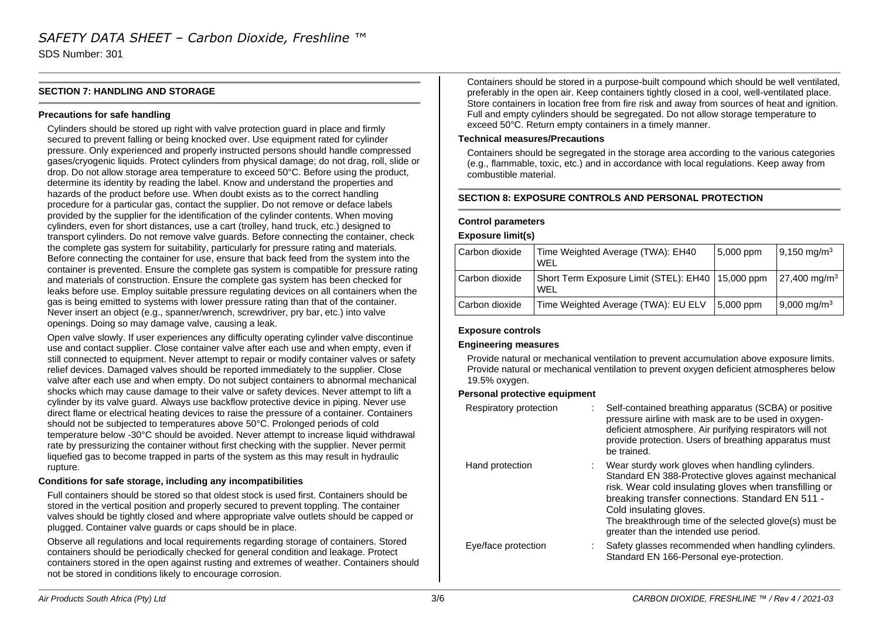SDS Number: 301

### **SECTION 7: HANDLING AND STORAGE**

#### **Precautions for safe handling**

Cylinders should be stored up right with valve protection guard in place and firmly secured to prevent falling or being knocked over. Use equipment rated for cylinder pressure. Only experienced and properly instructed persons should handle compressed gases/cryogenic liquids. Protect cylinders from physical damage; do not drag, roll, slide or drop. Do not allow storage area temperature to exceed 50°C. Before using the product, determine its identity by reading the label. Know and understand the properties and hazards of the product before use. When doubt exists as to the correct handling procedure for a particular gas, contact the supplier. Do not remove or deface labels provided by the supplier for the identification of the cylinder contents. When moving cylinders, even for short distances, use a cart (trolley, hand truck, etc.) designed to transport cylinders. Do not remove valve guards. Before connecting the container, check the complete gas system for suitability, particularly for pressure rating and materials. Before connecting the container for use, ensure that back feed from the system into the container is prevented. Ensure the complete gas system is compatible for pressure rating and materials of construction. Ensure the complete gas system has been checked for leaks before use. Employ suitable pressure regulating devices on all containers when the gas is being emitted to systems with lower pressure rating than that of the container. Never insert an object (e.g., spanner/wrench, screwdriver, pry bar, etc.) into valve openings. Doing so may damage valve, causing a leak.

Open valve slowly. If user experiences any difficulty operating cylinder valve discontinue use and contact supplier. Close container valve after each use and when empty, even if still connected to equipment. Never attempt to repair or modify container valves or safety relief devices. Damaged valves should be reported immediately to the supplier. Close valve after each use and when empty. Do not subject containers to abnormal mechanical shocks which may cause damage to their valve or safety devices. Never attempt to lift a cylinder by its valve guard. Always use backflow protective device in piping. Never use direct flame or electrical heating devices to raise the pressure of a container. Containers should not be subjected to temperatures above 50°C. Prolonged periods of cold temperature below -30°C should be avoided. Never attempt to increase liquid withdrawal rate by pressurizing the container without first checking with the supplier. Never permit liquefied gas to become trapped in parts of the system as this may result in hydraulic rupture.

#### **Conditions for safe storage, including any incompatibilities**

Full containers should be stored so that oldest stock is used first. Containers should be stored in the vertical position and properly secured to prevent toppling. The container valves should be tightly closed and where appropriate valve outlets should be capped or plugged. Container valve guards or caps should be in place.

Observe all regulations and local requirements regarding storage of containers. Stored containers should be periodically checked for general condition and leakage. Protect containers stored in the open against rusting and extremes of weather. Containers should not be stored in conditions likely to encourage corrosion.

Containers should be stored in a purpose-built compound which should be well ventilated, preferably in the open air. Keep containers tightly closed in a cool, well-ventilated place. Store containers in location free from fire risk and away from sources of heat and ignition. Full and empty cylinders should be segregated. Do not allow storage temperature to exceed 50°C. Return empty containers in a timely manner.

#### **Technical measures/Precautions**

Containers should be segregated in the storage area according to the various categories (e.g., flammable, toxic, etc.) and in accordance with local regulations. Keep away from combustible material.

#### **SECTION 8: EXPOSURE CONTROLS AND PERSONAL PROTECTION**

#### **Control parameters**

#### **Exposure limit(s)**

| Carbon dioxide | Time Weighted Average (TWA): EH40<br><b>WFI</b>            | $5,000$ ppm      | $9,150 \text{ mg/m}^3$    |
|----------------|------------------------------------------------------------|------------------|---------------------------|
| Carbon dioxide | Short Term Exposure Limit (STEL): EH40   15,000 ppm<br>WFL |                  | $27,400 \text{ mg/m}^3$   |
| Carbon dioxide | Time Weighted Average (TWA): EU ELV                        | $\mid$ 5,000 ppm | $9,000 \,\mathrm{mg/m^3}$ |

### **Exposure controls**

#### **Engineering measures**

Provide natural or mechanical ventilation to prevent accumulation above exposure limits. Provide natural or mechanical ventilation to prevent oxygen deficient atmospheres below 19.5% oxygen.

#### **Personal protective equipment**

| Respiratory protection | Self-contained breathing apparatus (SCBA) or positive<br>pressure airline with mask are to be used in oxygen-<br>deficient atmosphere. Air purifying respirators will not<br>provide protection. Users of breathing apparatus must<br>be trained.                                                                                                    |
|------------------------|------------------------------------------------------------------------------------------------------------------------------------------------------------------------------------------------------------------------------------------------------------------------------------------------------------------------------------------------------|
| Hand protection        | Wear sturdy work gloves when handling cylinders.<br>Standard EN 388-Protective gloves against mechanical<br>risk. Wear cold insulating gloves when transfilling or<br>breaking transfer connections. Standard EN 511 -<br>Cold insulating gloves.<br>The breakthrough time of the selected glove(s) must be<br>greater than the intended use period. |
| Eye/face protection    | Safety glasses recommended when handling cylinders.<br>Standard EN 166-Personal eye-protection.                                                                                                                                                                                                                                                      |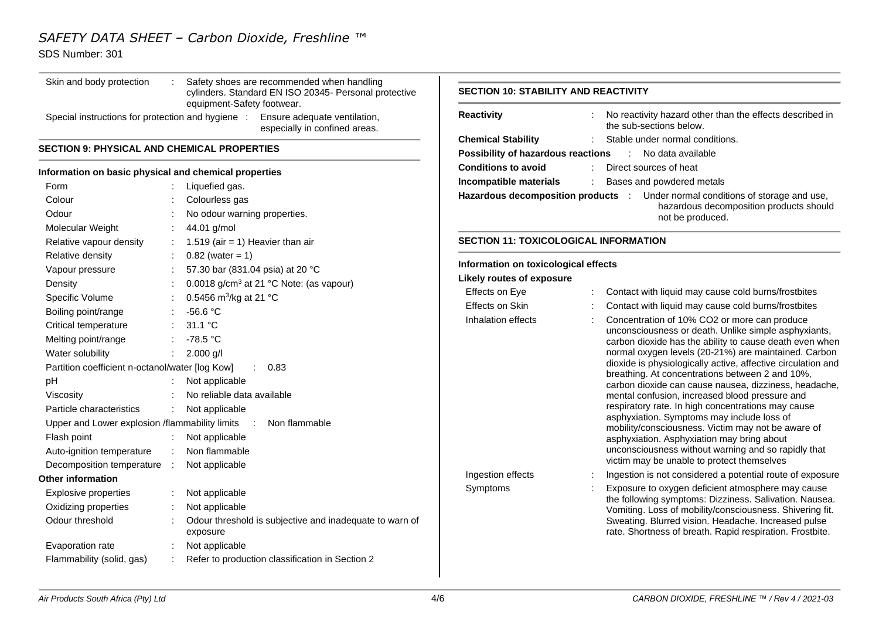# SDS Number: 301

| Skin and body protection                              |                                                                                     | Safety shoes are recommended when handling                                                                      |                                              |                                 |                                                                                                                 |
|-------------------------------------------------------|-------------------------------------------------------------------------------------|-----------------------------------------------------------------------------------------------------------------|----------------------------------------------|---------------------------------|-----------------------------------------------------------------------------------------------------------------|
|                                                       | cylinders. Standard EN ISO 20345- Personal protective<br>equipment-Safety footwear. | <b>SECTION 10: STABILITY AND REACTIVITY</b>                                                                     |                                              |                                 |                                                                                                                 |
|                                                       |                                                                                     | Special instructions for protection and hygiene : Ensure adequate ventilation,<br>especially in confined areas. | <b>Reactivity</b>                            |                                 | No reactivity hazard other than the effects described in<br>the sub-sections below.                             |
|                                                       |                                                                                     | <b>Chemical Stability</b>                                                                                       |                                              | Stable under normal conditions. |                                                                                                                 |
| <b>SECTION 9: PHYSICAL AND CHEMICAL PROPERTIES</b>    |                                                                                     |                                                                                                                 | Possibility of hazardous reactions           |                                 | : No data available                                                                                             |
| Information on basic physical and chemical properties |                                                                                     |                                                                                                                 | <b>Conditions to avoid</b>                   |                                 | Direct sources of heat                                                                                          |
| Form                                                  |                                                                                     | Liquefied gas.                                                                                                  | Incompatible materials                       |                                 | Bases and powdered metals                                                                                       |
| Colour                                                |                                                                                     | Colourless gas                                                                                                  |                                              |                                 | Hazardous decomposition products : Under normal conditions of storage and use,                                  |
| Odour                                                 |                                                                                     | No odour warning properties.                                                                                    |                                              |                                 | hazardous decomposition products should<br>not be produced.                                                     |
| Molecular Weight                                      |                                                                                     | 44.01 g/mol                                                                                                     |                                              |                                 |                                                                                                                 |
| Relative vapour density                               |                                                                                     | 1.519 (air = 1) Heavier than air                                                                                | <b>SECTION 11: TOXICOLOGICAL INFORMATION</b> |                                 |                                                                                                                 |
| Relative density                                      |                                                                                     | $0.82$ (water = 1)                                                                                              |                                              |                                 |                                                                                                                 |
| Vapour pressure                                       |                                                                                     | 57.30 bar (831.04 psia) at 20 °C                                                                                | Information on toxicological effects         |                                 |                                                                                                                 |
| Density                                               |                                                                                     | 0.0018 g/cm <sup>3</sup> at 21 °C Note: (as vapour)                                                             | <b>Likely routes of exposure</b>             |                                 |                                                                                                                 |
| Specific Volume                                       |                                                                                     | 0.5456 m <sup>3</sup> /kg at 21 °C                                                                              | Effects on Eye                               |                                 | Contact with liquid may cause cold burns/frostbites                                                             |
| Boiling point/range                                   |                                                                                     | $-56.6 °C$                                                                                                      | Effects on Skin                              |                                 | Contact with liquid may cause cold burns/frostbites                                                             |
| Critical temperature                                  |                                                                                     | 31.1 °C                                                                                                         | Inhalation effects                           |                                 | Concentration of 10% CO2 or more can produce<br>unconsciousness or death. Unlike simple asphyxiants,            |
| Melting point/range                                   |                                                                                     | $-78.5 °C$                                                                                                      |                                              |                                 | carbon dioxide has the ability to cause death even when                                                         |
| Water solubility                                      |                                                                                     | $2.000$ g/l                                                                                                     |                                              |                                 | normal oxygen levels (20-21%) are maintained. Carbon                                                            |
| Partition coefficient n-octanol/water [log Kow]       |                                                                                     | : 0.83                                                                                                          |                                              |                                 | dioxide is physiologically active, affective circulation and                                                    |
| pH                                                    |                                                                                     | Not applicable                                                                                                  |                                              |                                 | breathing. At concentrations between 2 and 10%,<br>carbon dioxide can cause nausea, dizziness, headache,        |
| Viscosity                                             |                                                                                     | No reliable data available                                                                                      |                                              |                                 | mental confusion, increased blood pressure and                                                                  |
| Particle characteristics                              |                                                                                     | Not applicable                                                                                                  |                                              |                                 | respiratory rate. In high concentrations may cause                                                              |
| Upper and Lower explosion /flammability limits        |                                                                                     | Non flammable<br>$\sim 100$                                                                                     |                                              |                                 | asphyxiation. Symptoms may include loss of<br>mobility/consciousness. Victim may not be aware of                |
| Flash point                                           |                                                                                     | Not applicable                                                                                                  |                                              |                                 | asphyxiation. Asphyxiation may bring about                                                                      |
| Auto-ignition temperature                             |                                                                                     | Non flammable                                                                                                   |                                              |                                 | unconsciousness without warning and so rapidly that                                                             |
| Decomposition temperature :                           |                                                                                     | Not applicable                                                                                                  |                                              |                                 | victim may be unable to protect themselves                                                                      |
| Other information                                     |                                                                                     |                                                                                                                 | Ingestion effects                            |                                 | Ingestion is not considered a potential route of exposure                                                       |
| <b>Explosive properties</b>                           |                                                                                     | Not applicable                                                                                                  | Symptoms                                     |                                 | Exposure to oxygen deficient atmosphere may cause<br>the following symptoms: Dizziness. Salivation. Nausea.     |
| Oxidizing properties                                  |                                                                                     | Not applicable                                                                                                  |                                              |                                 | Vomiting. Loss of mobility/consciousness. Shivering fit.                                                        |
| Odour threshold                                       |                                                                                     | Odour threshold is subjective and inadequate to warn of<br>exposure                                             |                                              |                                 | Sweating. Blurred vision. Headache. Increased pulse<br>rate. Shortness of breath. Rapid respiration. Frostbite. |
| Evaporation rate                                      |                                                                                     | Not applicable                                                                                                  |                                              |                                 |                                                                                                                 |
| Flammability (solid, gas)                             |                                                                                     | Refer to production classification in Section 2                                                                 |                                              |                                 |                                                                                                                 |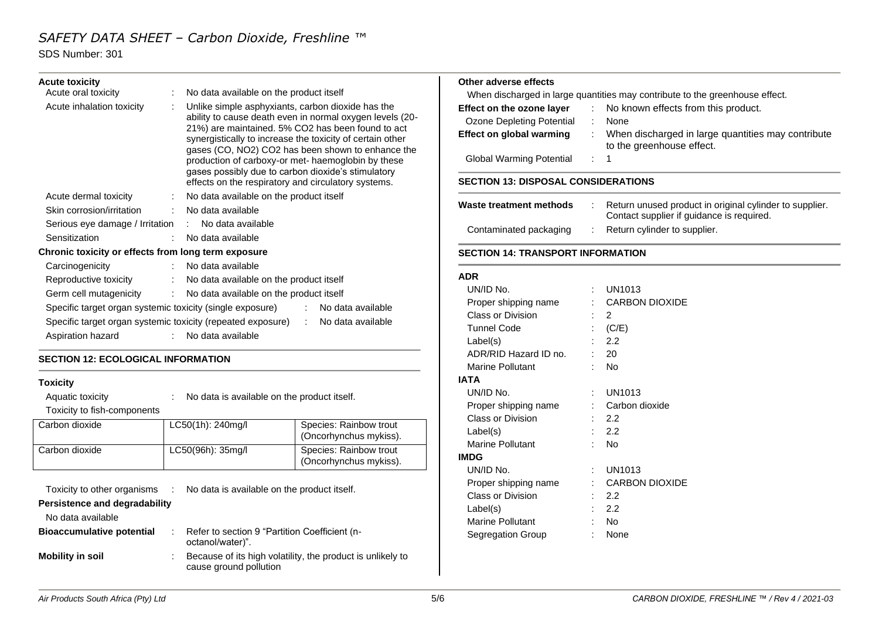# SDS Number: 301

| <b>Acute toxicity</b>                                     |                                                                                                                                                                     | Other adverse effects                     |                |                     |
|-----------------------------------------------------------|---------------------------------------------------------------------------------------------------------------------------------------------------------------------|-------------------------------------------|----------------|---------------------|
| Acute oral toxicity                                       | : No data available on the product itself                                                                                                                           | When discharged in large quantities may   |                |                     |
| Acute inhalation toxicity                                 | Unlike simple asphyxiants, carbon dioxide has the                                                                                                                   | Effect on the ozone layer                 | ÷              | No kno              |
|                                                           | ability to cause death even in normal oxygen levels (20-                                                                                                            | <b>Ozone Depleting Potential</b>          | $\mathbb{R}^n$ | None                |
|                                                           | 21%) are maintained. 5% CO2 has been found to act<br>synergistically to increase the toxicity of certain other<br>gases (CO, NO2) CO2 has been shown to enhance the | <b>Effect on global warming</b>           |                | When d<br>to the g  |
|                                                           | production of carboxy-or met- haemoglobin by these                                                                                                                  | <b>Global Warming Potential</b>           |                | $\therefore$ 1      |
|                                                           | gases possibly due to carbon dioxide's stimulatory<br>effects on the respiratory and circulatory systems.                                                           | <b>SECTION 13: DISPOSAL CONSIDERATION</b> |                |                     |
| Acute dermal toxicity                                     | : No data available on the product itself                                                                                                                           |                                           |                |                     |
| Skin corrosion/irritation                                 | No data available                                                                                                                                                   | Waste treatment methods                   |                | Return u<br>Contact |
| Serious eye damage / Irritation                           | : No data available                                                                                                                                                 | Contaminated packaging                    |                | Return o            |
| Sensitization                                             | No data available                                                                                                                                                   |                                           |                |                     |
| Chronic toxicity or effects from long term exposure       |                                                                                                                                                                     | <b>SECTION 14: TRANSPORT INFORMATIO</b>   |                |                     |
| Carcinogenicity                                           | : No data available                                                                                                                                                 |                                           |                |                     |
| Reproductive toxicity                                     | : No data available on the product itself                                                                                                                           | <b>ADR</b>                                |                |                     |
| Germ cell mutagenicity                                    | : No data available on the product itself                                                                                                                           | UN/ID No.                                 |                | <b>UN1013</b>       |
| Specific target organ systemic toxicity (single exposure) | : No data available                                                                                                                                                 | Proper shipping name                      |                | CARBO               |
|                                                           | Specific target organ systemic toxicity (repeated exposure) : No data available                                                                                     | Class or Division                         | ÷.             | 2                   |
|                                                           |                                                                                                                                                                     | <b>Tunnel Code</b>                        |                | (C/E)               |
| Aspiration hazard                                         | : No data available                                                                                                                                                 | Label(s)                                  |                | 2.2                 |
| <b>SECTION 12: ECOLOGICAL INFORMATION</b>                 |                                                                                                                                                                     | ADR/RID Hazard ID no.                     |                | 20                  |
|                                                           |                                                                                                                                                                     |                                           |                |                     |

## **Toxicity**

| Aquatic toxicity            | No data is available on the product itself. |                                                  |  |  |
|-----------------------------|---------------------------------------------|--------------------------------------------------|--|--|
| Toxicity to fish-components |                                             |                                                  |  |  |
| Carbon dioxide              | LC50(1h): 240mg/l                           | Species: Rainbow trout<br>(Oncorhynchus mykiss). |  |  |
| Carbon dioxide              | LC50(96h): 35mg/l                           | Species: Rainbow trout<br>(Oncorhynchus mykiss). |  |  |

| Toxicity to other organisms<br>Persistence and degradability | No data is available on the product itself.                                          |
|--------------------------------------------------------------|--------------------------------------------------------------------------------------|
| No data available                                            |                                                                                      |
| <b>Bioaccumulative potential</b>                             | Refer to section 9 "Partition Coefficient (n-<br>octanol/water)".                    |
| <b>Mobility in soil</b>                                      | Because of its high volatility, the product is unlikely to<br>cause ground pollution |
|                                                              |                                                                                      |

# **Other adverse effects**

contribute to the greenhouse effect.

| Effect on the ozone layer       |                | : No known effects from this product.                                           |
|---------------------------------|----------------|---------------------------------------------------------------------------------|
| Ozone Depleting Potential       |                | <b>None</b>                                                                     |
| Effect on global warming        |                | When discharged in large quantities may contribute<br>to the greenhouse effect. |
| <b>Global Warming Potential</b> | $\therefore$ 1 |                                                                                 |

#### **SECTION 13: DISPOSAL CONSIDERATIONS**

| Waste treatment methods | Return unused product in original cylinder to supplier.<br>Contact supplier if quidance is required. |
|-------------------------|------------------------------------------------------------------------------------------------------|
| Contaminated packaging  | Return cylinder to supplier.                                                                         |

#### **SECTION 14: TRANSPORT INFORMATION**

|             | UN/ID No.                |  | UN1013                |
|-------------|--------------------------|--|-----------------------|
|             | Proper shipping name     |  | <b>CARBON DIOXIDE</b> |
|             | Class or Division        |  | 2                     |
|             | <b>Tunnel Code</b>       |  | (C/E)                 |
|             | Label(s)                 |  | 2.2                   |
|             | ADR/RID Hazard ID no.    |  | 20                    |
|             | Marine Pollutant         |  | No                    |
|             | IATA                     |  |                       |
|             | UN/ID No.                |  | UN1013                |
|             | Proper shipping name     |  | Carbon dioxide        |
|             | Class or Division        |  | 2.2                   |
|             | Label(s)                 |  | 2.2                   |
|             | <b>Marine Pollutant</b>  |  | No                    |
| <b>IMDG</b> |                          |  |                       |
|             | UN/ID No.                |  | UN1013                |
|             | Proper shipping name     |  | <b>CARBON DIOXIDE</b> |
|             | <b>Class or Division</b> |  | 2.2                   |
|             | Label(s)                 |  | 2.2                   |
|             | <b>Marine Pollutant</b>  |  | No                    |
|             | Segregation Group        |  | None                  |
|             |                          |  |                       |